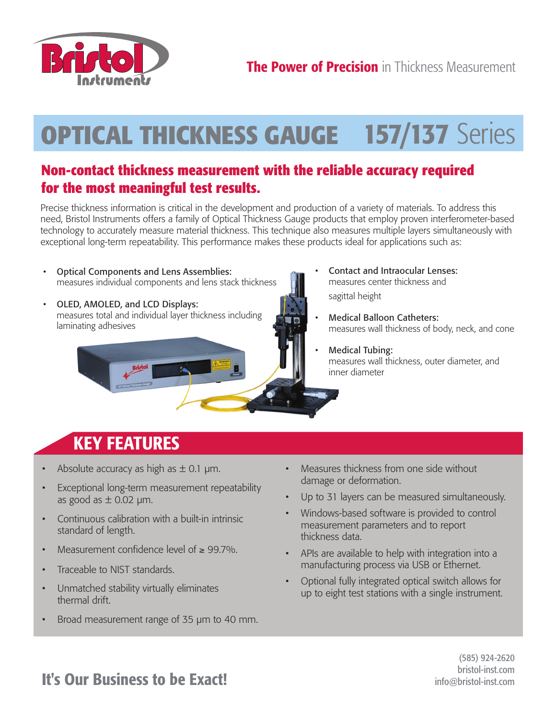

## **OPTICAL THICKNESS GAUGE 157/137** Series

## **Non-contact thickness measurement with the reliable accuracy required for the most meaningful test results.**

Precise thickness information is critical in the development and production of a variety of materials. To address this need, Bristol Instruments offers a family of Optical Thickness Gauge products that employ proven interferometer-based technology to accurately measure material thickness. This technique also measures multiple layers simultaneously with exceptional long-term repeatability. This performance makes these products ideal for applications such as:

- Optical Components and Lens Assemblies: measures individual components and lens stack thickness
- OLED, AMOLED, and LCD Displays: measures total and individual layer thickness including laminating adhesives



- Contact and Intraocular Lenses: measures center thickness and sagittal height
- Medical Balloon Catheters: measures wall thickness of body, neck, and cone
- Medical Tubing: measures wall thickness, outer diameter, and inner diameter

## **KEY FEATURES**

- Absolute accuracy as high as  $\pm$  0.1 µm.
- Exceptional long-term measurement repeatability as good as  $\pm$  0.02 µm.
- Continuous calibration with a built-in intrinsic standard of length.
- Measurement confidence level of  $\geq 99.7\%$ .
- Traceable to NIST standards.
- Unmatched stability virtually eliminates thermal drift.
- Broad measurement range of 35 µm to 40 mm.
- Measures thickness from one side without damage or deformation.
- Up to 31 layers can be measured simultaneously.
- Windows-based software is provided to control measurement parameters and to report thickness data.
- APIs are available to help with integration into a manufacturing process via USB or Ethernet.
- Optional fully integrated optical switch allows for up to eight test stations with a single instrument.

(585) 924-2620 bristol-inst.com info@bristol-inst.com

## **It's Our Business to be Exact!**